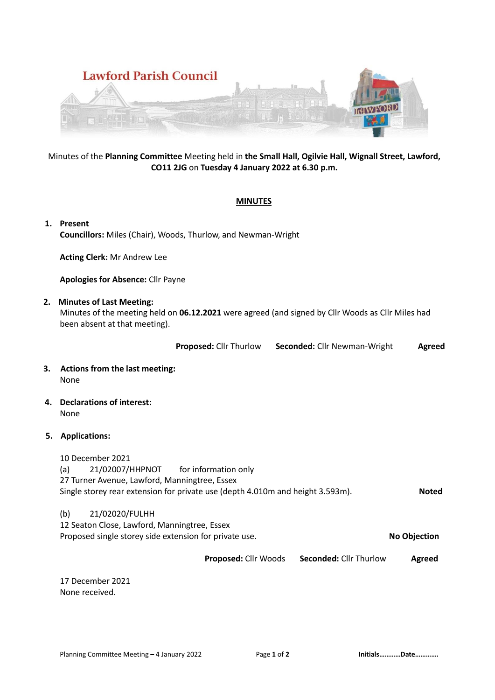

# Minutes of the **Planning Committee** Meeting held in **the Small Hall, Ogilvie Hall, Wignall Street, Lawford, CO11 2JG** on **Tuesday 4 January 2022 at 6.30 p.m.**

# **MINUTES**

**1. Present Councillors:** Miles (Chair), Woods, Thurlow, and Newman-Wright

**Acting Clerk:** Mr Andrew Lee

**Apologies for Absence:** Cllr Payne

# **2. Minutes of Last Meeting:**

Minutes of the meeting held on **06.12.2021** were agreed (and signed by Cllr Woods as Cllr Miles had been absent at that meeting).

**Proposed:** Cllr Thurlow **Seconded:** Cllr Newman-Wright **Agreed**

- **3. Actions from the last meeting:** None
- **4. Declarations of interest:** None

# **5. Applications:**

10 December 2021 (a) 21/02007/HHPNOT for information only 27 Turner Avenue, Lawford, Manningtree, Essex Single storey rear extension for private use (depth 4.010m and height 3.593m). **Noted**

### (b) 21/02020/FULHH

12 Seaton Close, Lawford, Manningtree, Essex Proposed single storey side extension for private use. **No Objection**

**Proposed:** Cllr Woods **Seconded:** Cllr Thurlow **Agreed**

17 December 2021 None received.